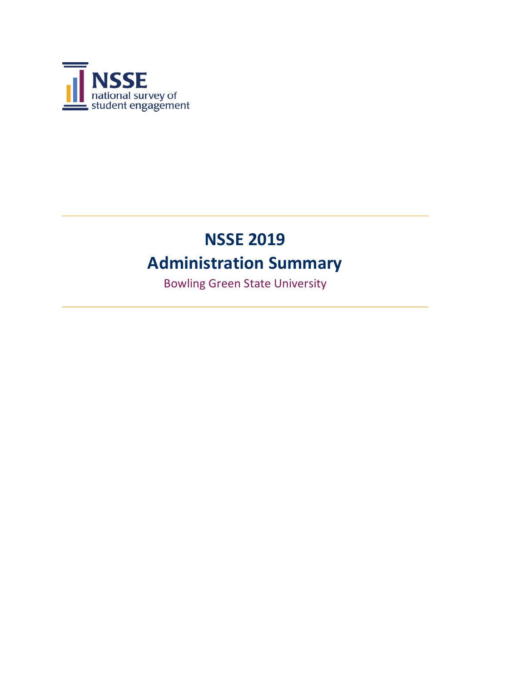

# **NSSE 2019 Administration Summary**

Bowling Green State University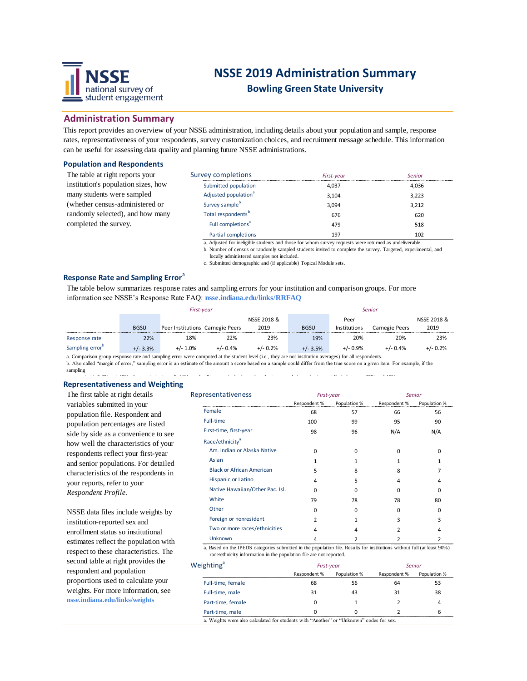

# **NSSE 2019 Administration Summary**

**Bowling Green State University**

### **Administration Summary**

This report provides an overview of your NSSE administration, including details about your population and sample, response rates, representativeness of your respondents, survey customization choices, and recruitment message schedule. This information can be useful for assessing data quality and planning future NSSE administrations.

#### **Population and Respondents**

The table at right reports your institution's population sizes, how many students were sampled (whether census-administered or randomly selected), and how many completed the survey.

| Survey completions               | First-year | Senior |
|----------------------------------|------------|--------|
| Submitted population             | 4.037      | 4.036  |
| Adjusted population <sup>a</sup> | 3.104      | 3.223  |
| Survey sample <sup>b</sup>       | 3.094      | 3.212  |
| Total respondents <sup>b</sup>   | 676        | 620    |
| Full completions <sup>c</sup>    | 479        | 518    |
| Partial completions              | 197        | 102    |

a. Adjusted for ineligible students and those for whom survey requests were returned as undeliverable.

b. Number of census or randomly sampled students invited to complete the survey. Targeted, experimental, and locally administered samples not included.

c. Submitted demographic and (if applicable) Topical Module sets.

#### **Response Rate and Sampling Error**<sup>a</sup>

The table below summarizes response rates and sampling errors for your institution and comparison groups. For more information see NSSE's Response Rate FAQ: **nsse.indiana.edu/links/RRFAQ**

|                             | First-year  |                                  |            | <b>Senior</b> |             |              |                |             |
|-----------------------------|-------------|----------------------------------|------------|---------------|-------------|--------------|----------------|-------------|
|                             |             |                                  |            | NSSE 2018 &   |             | Peer         |                | NSSE 2018 & |
|                             | <b>BGSU</b> | Peer Institutions Carnegie Peers |            | 2019          | <b>BGSU</b> | Institutions | Carnegie Peers | 2019        |
| Response rate               | 22%         | 18%                              | 22%        | 23%           | 19%         | 20%          | 20%            | 23%         |
| Sampling error <sup>b</sup> | $+/- 3.3%$  | $+/- 1.0\%$                      | $+/- 0.4%$ | $+/- 0.2%$    | $+/- 3.5%$  | $+/- 0.9%$   | $+/- 0.4%$     | $+/- 0.2%$  |

a. Comparison group response rate and sampling error were computed at the student level (i.e., they are not institution averages) for all respondents.

b. Also called "margin of error," sampling error is an estimate of the amount a score based on a sample could differ from the true score on a given item. For example, if the sampling

#### **Representativeness and Weighting** error is +/- 5.0% and 40% of your students replied "Very often" to a particular item, then the true population value is most likely between 35% and 45%.

The first table at right details variables submitted in your population file. Respondent and population percentages are listed side by side as a convenience to see how well the characteristics of your respondents reflect your first-year and senior populations. For detailed characteristics of the respondents in your reports, refer to your *Respondent Profile.*

NSSE data files include weights by institution-reported sex and enrollment status so institutional estimates reflect the population with respect to these characteristics. The second table at right provides the respondent and population proportions used to calculate your weights. For more information, see **nsse.indiana.edu/links/weights**

| Representativeness               | First-year   |              | Senior       |              |  |
|----------------------------------|--------------|--------------|--------------|--------------|--|
|                                  | Respondent % | Population % | Respondent % | Population % |  |
| Female                           | 68           | 57           | 66           | 56           |  |
| Full-time                        | 100          | 99           | 95           | 90           |  |
| First-time, first-year           | 98           | 96           | N/A          | N/A          |  |
| Race/ethnicity <sup>a</sup>      |              |              |              |              |  |
| Am. Indian or Alaska Native      | $\Omega$     | 0            | 0            | 0            |  |
| Asian                            | 1            | 1            | 1            | 1            |  |
| <b>Black or African American</b> | 5            | 8            | 8            | 7            |  |
| <b>Hispanic or Latino</b>        | 4            | 5            | 4            | 4            |  |
| Native Hawaiian/Other Pac. Isl.  | $\Omega$     | O            | ŋ            | ŋ            |  |
| White                            | 79           | 78           | 78           | 80           |  |
| Other                            | $\Omega$     | 0            | 0            | 0            |  |
| Foreign or nonresident           | 2            |              | 3            | 3            |  |
| Two or more races/ethnicities    | 4            | 4            | 2            | 4            |  |
| Unknown                          | 4            | 2            | 2            | 2            |  |

a. Based on the IPEDS categories submitted in the population file. Results for institutions without full (at least 90%) race/ethnicity information in the population file are not reported.

| Weighting <sup>a</sup> | First-year   |              | Senior       |              |  |
|------------------------|--------------|--------------|--------------|--------------|--|
|                        | Respondent % | Population % | Respondent % | Population % |  |
| Full-time, female      | 68           | 56           | 64           | 53           |  |
| Full-time, male        | 31           | 43           | 31           | 38           |  |
| Part-time, female      |              |              |              |              |  |
| Part-time, male        |              |              |              |              |  |